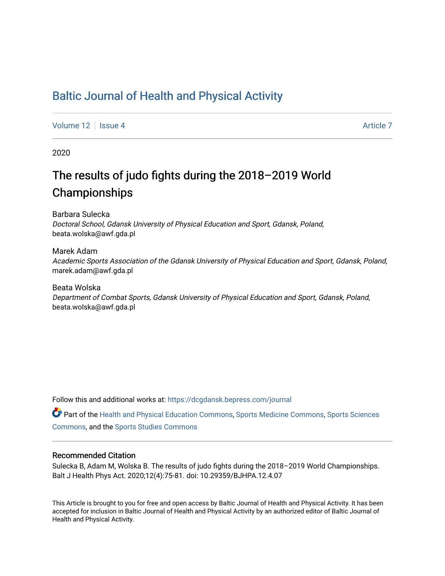### [Baltic Journal of Health and Physical Activity](https://dcgdansk.bepress.com/journal)

[Volume 12](https://dcgdansk.bepress.com/journal/vol12) Setus 4 [Article 7](https://dcgdansk.bepress.com/journal/vol12/iss4/7) Article 7 Article 7 Article 7 Article 7 Article 7

2020

# The results of judo fights during the 2018–2019 World Championships

Barbara Sulecka Doctoral School, Gdansk University of Physical Education and Sport, Gdansk, Poland, beata.wolska@awf.gda.pl

Marek Adam Academic Sports Association of the Gdansk University of Physical Education and Sport, Gdansk, Poland, marek.adam@awf.gda.pl

Beata Wolska Department of Combat Sports, Gdansk University of Physical Education and Sport, Gdansk, Poland, beata.wolska@awf.gda.pl

Follow this and additional works at: [https://dcgdansk.bepress.com/journal](https://dcgdansk.bepress.com/journal?utm_source=dcgdansk.bepress.com%2Fjournal%2Fvol12%2Fiss4%2F7&utm_medium=PDF&utm_campaign=PDFCoverPages)

Part of the [Health and Physical Education Commons](http://network.bepress.com/hgg/discipline/1327?utm_source=dcgdansk.bepress.com%2Fjournal%2Fvol12%2Fiss4%2F7&utm_medium=PDF&utm_campaign=PDFCoverPages), [Sports Medicine Commons,](http://network.bepress.com/hgg/discipline/1331?utm_source=dcgdansk.bepress.com%2Fjournal%2Fvol12%2Fiss4%2F7&utm_medium=PDF&utm_campaign=PDFCoverPages) [Sports Sciences](http://network.bepress.com/hgg/discipline/759?utm_source=dcgdansk.bepress.com%2Fjournal%2Fvol12%2Fiss4%2F7&utm_medium=PDF&utm_campaign=PDFCoverPages) [Commons](http://network.bepress.com/hgg/discipline/759?utm_source=dcgdansk.bepress.com%2Fjournal%2Fvol12%2Fiss4%2F7&utm_medium=PDF&utm_campaign=PDFCoverPages), and the [Sports Studies Commons](http://network.bepress.com/hgg/discipline/1198?utm_source=dcgdansk.bepress.com%2Fjournal%2Fvol12%2Fiss4%2F7&utm_medium=PDF&utm_campaign=PDFCoverPages) 

#### Recommended Citation

Sulecka B, Adam M, Wolska B. The results of judo fights during the 2018–2019 World Championships. Balt J Health Phys Act. 2020;12(4):75-81. doi: 10.29359/BJHPA.12.4.07

This Article is brought to you for free and open access by Baltic Journal of Health and Physical Activity. It has been accepted for inclusion in Baltic Journal of Health and Physical Activity by an authorized editor of Baltic Journal of Health and Physical Activity.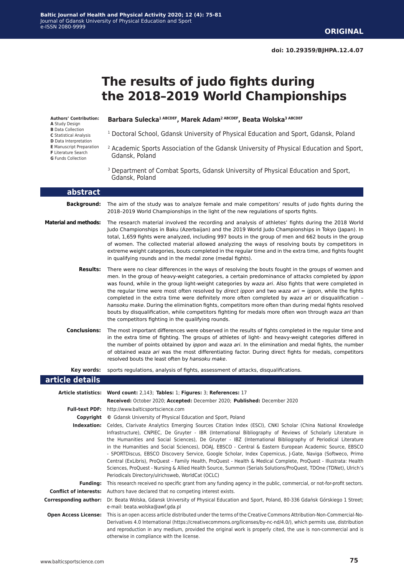# **The results of judo fights during the 2018–2019 World Championships**

**Authors' Contribution: A** Study Design

- **B** Data Collection
- **C** Statistical Analysis
- 
- **D** Data Interpretation
- **E** Manuscript Preparation
- **F** Literature Search
- **G** Funds Collection

**Barbara Sulecka1 ABCDEF, Marek Adam2 ABCDEF, Beata Wolska3 ABCDEF**

- 1 Doctoral School, Gdansk University of Physical Education and Sport, Gdansk, Poland
- <sup>2</sup> Academic Sports Association of the Gdansk University of Physical Education and Sport, Gdansk, Poland
- <sup>3</sup> Department of Combat Sports, Gdansk University of Physical Education and Sport, Gdansk, Poland

| abstract                      |                                                                                                                                                                                                                                                                                                                                                                                                                                                                                                                                                                                                                                                                                                                                                                                                                                                                           |  |  |  |  |
|-------------------------------|---------------------------------------------------------------------------------------------------------------------------------------------------------------------------------------------------------------------------------------------------------------------------------------------------------------------------------------------------------------------------------------------------------------------------------------------------------------------------------------------------------------------------------------------------------------------------------------------------------------------------------------------------------------------------------------------------------------------------------------------------------------------------------------------------------------------------------------------------------------------------|--|--|--|--|
| <b>Background:</b>            | The aim of the study was to analyze female and male competitors' results of judo fights during the<br>2018-2019 World Championships in the light of the new regulations of sports fights.                                                                                                                                                                                                                                                                                                                                                                                                                                                                                                                                                                                                                                                                                 |  |  |  |  |
| <b>Material and methods:</b>  | The research material involved the recording and analysis of athletes' fights during the 2018 World<br>Judo Championships in Baku (Azerbaijan) and the 2019 World Judo Championships in Tokyo (Japan). In<br>total, 1,659 fights were analyzed, including 997 bouts in the group of men and 662 bouts in the group<br>of women. The collected material allowed analyzing the ways of resolving bouts by competitors in<br>extreme weight categories, bouts completed in the regular time and in the extra time, and fights fought<br>in qualifying rounds and in the medal zone (medal fights).                                                                                                                                                                                                                                                                           |  |  |  |  |
| <b>Results:</b>               | There were no clear differences in the ways of resolving the bouts fought in the groups of women and<br>men. In the group of heavy-weight categories, a certain predominance of attacks completed by ippon<br>was found, while in the group light-weight categories by waza ari. Also fights that were completed in<br>the regular time were most often resolved by direct ippon and two waza ari = ippon, while the fights<br>completed in the extra time were definitely more often completed by waza ari or disqualification -<br>hansoku make. During the elimination fights, competitors more often than during medal fights resolved<br>bouts by disqualification, while competitors fighting for medals more often won through waza ari than<br>the competitors fighting in the qualifying rounds.                                                                 |  |  |  |  |
| <b>Conclusions:</b>           | The most important differences were observed in the results of fights completed in the regular time and<br>in the extra time of fighting. The groups of athletes of light- and heavy-weight categories differed in<br>the number of points obtained by <i>ippon</i> and waza ari. In the elimination and medal fights, the number<br>of obtained waza ari was the most differentiating factor. During direct fights for medals, competitors<br>resolved bouts the least often by hansoku make.                                                                                                                                                                                                                                                                                                                                                                            |  |  |  |  |
| Key words:                    | sports regulations, analysis of fights, assessment of attacks, disqualifications.                                                                                                                                                                                                                                                                                                                                                                                                                                                                                                                                                                                                                                                                                                                                                                                         |  |  |  |  |
| article details               |                                                                                                                                                                                                                                                                                                                                                                                                                                                                                                                                                                                                                                                                                                                                                                                                                                                                           |  |  |  |  |
|                               | Article statistics: Word count: 2,143; Tables: 1; Figures: 3; References: 17<br>Received: October 2020; Accepted: December 2020; Published: December 2020                                                                                                                                                                                                                                                                                                                                                                                                                                                                                                                                                                                                                                                                                                                 |  |  |  |  |
|                               | Full-text PDF: http://www.balticsportscience.com                                                                                                                                                                                                                                                                                                                                                                                                                                                                                                                                                                                                                                                                                                                                                                                                                          |  |  |  |  |
|                               | <b>Copyright</b> © Gdansk University of Physical Education and Sport, Poland                                                                                                                                                                                                                                                                                                                                                                                                                                                                                                                                                                                                                                                                                                                                                                                              |  |  |  |  |
|                               | Indexation: Celdes, Clarivate Analytics Emerging Sources Citation Index (ESCI), CNKI Scholar (China National Knowledge<br>Infrastructure), CNPIEC, De Gruyter - IBR (International Bibliography of Reviews of Scholarly Literature in<br>the Humanities and Social Sciences), De Gruyter - IBZ (International Bibliography of Periodical Literature<br>in the Humanities and Social Sciences), DOAJ, EBSCO - Central & Eastern European Academic Source, EBSCO<br>- SPORTDiscus, EBSCO Discovery Service, Google Scholar, Index Copernicus, J-Gate, Naviga (Softweco, Primo<br>Central (ExLibris), ProQuest - Family Health, ProQuest - Health & Medical Complete, ProQuest - Illustrata: Health<br>Sciences, ProQuest - Nursing & Allied Health Source, Summon (Serials Solutions/ProQuest, TDOne (TDNet), Ulrich's<br>Periodicals Directory/ulrichsweb, WorldCat (OCLC) |  |  |  |  |
|                               | Funding: This research received no specific grant from any funding agency in the public, commercial, or not-for-profit sectors.                                                                                                                                                                                                                                                                                                                                                                                                                                                                                                                                                                                                                                                                                                                                           |  |  |  |  |
| <b>Conflict of interests:</b> | Authors have declared that no competing interest exists.                                                                                                                                                                                                                                                                                                                                                                                                                                                                                                                                                                                                                                                                                                                                                                                                                  |  |  |  |  |
|                               | Corresponding author: Dr. Beata Wolska, Gdansk University of Physical Education and Sport, Poland, 80-336 Gdańsk Górskiego 1 Street;<br>e-mail: beata.wolska@awf.gda.pl                                                                                                                                                                                                                                                                                                                                                                                                                                                                                                                                                                                                                                                                                                   |  |  |  |  |
| <b>Open Access License:</b>   | This is an open access article distributed under the terms of the Creative Commons Attribution-Non-Commercial-No-<br>Derivatives 4.0 International (https://creativecommons.org/licenses/by-nc-nd/4.0/), which permits use, distribution<br>and reproduction in any medium, provided the original work is properly cited, the use is non-commercial and is<br>otherwise in compliance with the license.                                                                                                                                                                                                                                                                                                                                                                                                                                                                   |  |  |  |  |

L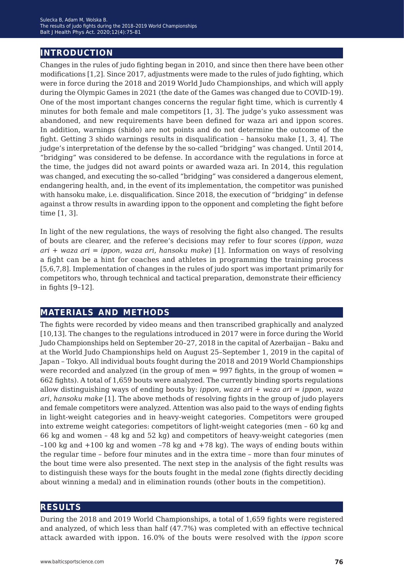### **introduction**

Changes in the rules of judo fighting began in 2010, and since then there have been other modifications [1,2]. Since 2017, adjustments were made to the rules of judo fighting, which were in force during the 2018 and 2019 World Judo Championships, and which will apply during the Olympic Games in 2021 (the date of the Games was changed due to COVID-19). One of the most important changes concerns the regular fight time, which is currently 4 minutes for both female and male competitors [1, 3]. The judge's yuko assessment was abandoned, and new requirements have been defined for waza ari and ippon scores. In addition, warnings (shido) are not points and do not determine the outcome of the fight. Getting 3 shido warnings results in disqualification – hansoku make [1, 3, 4]. The judge's interpretation of the defense by the so-called "bridging" was changed. Until 2014, "bridging" was considered to be defense. In accordance with the regulations in force at the time, the judges did not award points or awarded waza ari. In 2014, this regulation was changed, and executing the so-called "bridging" was considered a dangerous element, endangering health, and, in the event of its implementation, the competitor was punished with hansoku make, i.e. disqualification. Since 2018, the execution of "bridging" in defense against a throw results in awarding ippon to the opponent and completing the fight before time [1, 3].

In light of the new regulations, the ways of resolving the fight also changed. The results of bouts are clearer, and the referee's decisions may refer to four scores (*ippon*, *waza ari* + *waza ari* = *ippon*, *waza ari*, *hansoku make*) [1]. Information on ways of resolving a fight can be a hint for coaches and athletes in programming the training process [5,6,7,8]. Implementation of changes in the rules of judo sport was important primarily for competitors who, through technical and tactical preparation, demonstrate their efficiency in fights [9*−*12].

#### **materials and methods**

The fights were recorded by video means and then transcribed graphically and analyzed [10,13]. The changes to the regulations introduced in 2017 were in force during the World Judo Championships held on September 20–27, 2018 in the capital of Azerbaijan – Baku and at the World Judo Championships held on August 25–September 1, 2019 in the capital of Japan – Tokyo. All individual bouts fought during the 2018 and 2019 World Championships were recorded and analyzed (in the group of men = 997 fights, in the group of women = 662 fights). A total of 1,659 bouts were analyzed. The currently binding sports regulations allow distinguishing ways of ending bouts by: *ippon*, *waza ari* + *waza ari* = *ippon*, *waza ari*, *hansoku make* [1]. The above methods of resolving fights in the group of judo players and female competitors were analyzed. Attention was also paid to the ways of ending fights in light-weight categories and in heavy-weight categories. Competitors were grouped into extreme weight categories: competitors of light-weight categories (men – 60 kg and 66 kg and women – 48 kg and 52 kg) and competitors of heavy-weight categories (men  $-100$  kg and  $+100$  kg and women  $-78$  kg and  $+78$  kg). The ways of ending bouts within the regular time – before four minutes and in the extra time – more than four minutes of the bout time were also presented. The next step in the analysis of the fight results was to distinguish these ways for the bouts fought in the medal zone (fights directly deciding about winning a medal) and in elimination rounds (other bouts in the competition).

#### **results**

During the 2018 and 2019 World Championships, a total of 1,659 fights were registered and analyzed, of which less than half (47.7%) was completed with an effective technical attack awarded with ippon. 16.0% of the bouts were resolved with the *ippon* score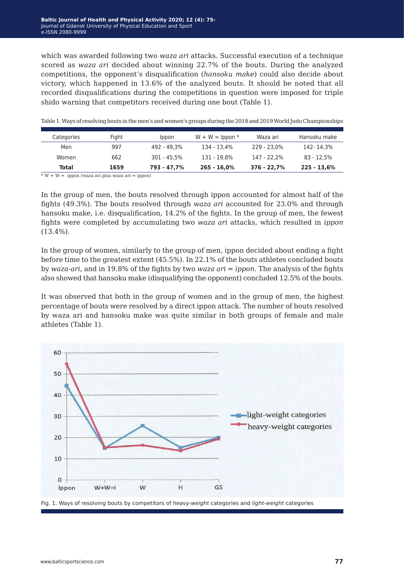which was awarded following two *waza ari* attacks. Successful execution of a technique scored as *waza ari* decided about winning 22.7% of the bouts. During the analyzed competitions, the opponent's disqualification (*hansoku make*) could also decide about victory, which happened in 13.6% of the analyzed bouts. It should be noted that all recorded disqualifications during the competitions in question were imposed for triple shido warning that competitors received during one bout (Table 1).

| Categories   | Fight | <i>lppon</i> | $W + W =$ lppon $*$ | Waza ari    | Hansoku make  |
|--------------|-------|--------------|---------------------|-------------|---------------|
| Men          | 997   | 492 - 49.3%  | 134 - 13.4%         | 229 - 23.0% | 142- 14.3%    |
| Women        | 662   | 301 - 45.5%  | 131 - 19.8%         | 147 - 22.2% | 83 - 12.5%    |
| <b>Total</b> | 1659  | 793 - 47.7%  | 265 - 16,0%         | 376 - 22.7% | $225 - 13,6%$ |

Table 1. Ways of resolving bouts in the men's and women's groups during the 2018 and 2019 World Judo Championships

\* W + W = ippon (waza ari plus waza ari = ippon)

In the group of men, the bouts resolved through ippon accounted for almost half of the fights (49.3%). The bouts resolved through *waza ari* accounted for 23.0% and through hansoku make, i.e. disqualification, 14.2% of the fights. In the group of men, the fewest fights were completed by accumulating two *waza ari* attacks, which resulted in *ippon* (13.4%).

In the group of women, similarly to the group of men, ippon decided about ending a fight before time to the greatest extent (45.5%). In 22.1% of the bouts athletes concluded bouts by *waza-ari*, and in 19.8% of the fights by two *waza ari* = *ippon*. The analysis of the fights also showed that hansoku make (disqualifying the opponent) concluded 12.5% of the bouts.

It was observed that both in the group of women and in the group of men, the highest percentage of bouts were resolved by a direct ippon attack. The number of bouts resolved by waza ari and hansoku make was quite similar in both groups of female and male athletes (Table 1).



Fig. 1. Ways of resolving bouts by competitors of *heavy-weight* categories and *light-weight* categories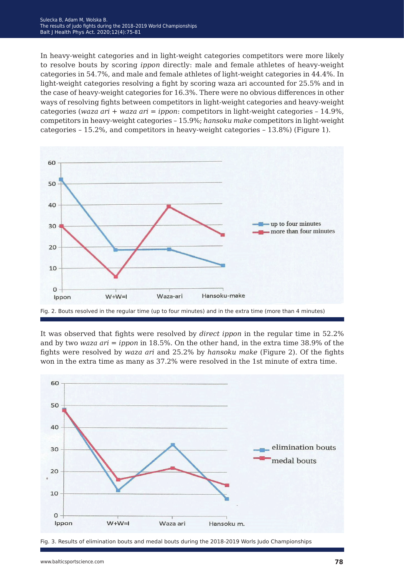#### Sulecka B, Adam M, Wolska B. The results of judo fights during the 2018–2019 World Championships Balt J Health Phys Act. 2020;12(4):75-81

In heavy-weight categories and in light-weight categories competitors were more likely to resolve bouts by scoring *ippon* directly: male and female athletes of heavy-weight categories in 54.7%, and male and female athletes of light-weight categories in 44.4%. In light-weight categories resolving a fight by scoring waza ari accounted for 25.5% and in the case of heavy-weight categories for 16.3%. There were no obvious differences in other ways of resolving fights between competitors in light-weight categories and heavy-weight categories (*waza ari* + *waza ari* = *ippon*: competitors in light-weight categories – 14.9%, competitors in heavy-weight categories – 15.9%; *hansoku make* competitors in light-weight categories – 15.2%, and competitors in heavy-weight categories – 13.8%) (Figure 1).



Fig. 2. Bouts resolved in the regular time (up to four minutes) and in the extra time (more than 4 minutes)

It was observed that fights were resolved by *direct ippon* in the regular time in 52.2% and by two *waza ari* = *ippon* in 18.5%. On the other hand, in the extra time 38.9% of the fights were resolved by *waza ari* and 25.2% by *hansoku make* (Figure 2). Of the fights won in the extra time as many as 37.2% were resolved in the 1st minute of extra time.



Fig. 3. Results of elimination bouts and medal bouts during the 2018-2019 Worls Judo Championships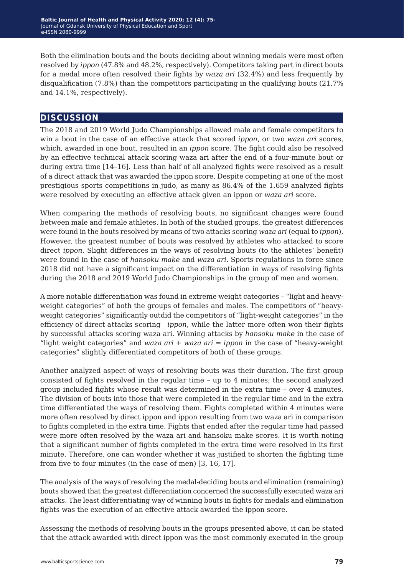Both the elimination bouts and the bouts deciding about winning medals were most often resolved by *ippon* (47.8% and 48.2%, respectively). Competitors taking part in direct bouts for a medal more often resolved their fights by *waza ari* (32.4%) and less frequently by disqualification (7.8%) than the competitors participating in the qualifying bouts (21.7% and 14.1%, respectively).

#### **discussion**

The 2018 and 2019 World Judo Championships allowed male and female competitors to win a bout in the case of an effective attack that scored *ippon*, or two *waza ari* scores, which, awarded in one bout, resulted in an *ippon* score. The fight could also be resolved by an effective technical attack scoring waza ari after the end of a four-minute bout or during extra time [14*−*16]. Less than half of all analyzed fights were resolved as a result of a direct attack that was awarded the ippon score. Despite competing at one of the most prestigious sports competitions in judo, as many as 86.4% of the 1,659 analyzed fights were resolved by executing an effective attack given an ippon or *waza ari* score.

When comparing the methods of resolving bouts, no significant changes were found between male and female athletes. In both of the studied groups, the greatest differences were found in the bouts resolved by means of two attacks scoring *waza ari* (equal to *ippon*). However, the greatest number of bouts was resolved by athletes who attacked to score direct *ippon*. Slight differences in the ways of resolving bouts (to the athletes' benefit) were found in the case of *hansoku make* and *waza ari*. Sports regulations in force since 2018 did not have a significant impact on the differentiation in ways of resolving fights during the 2018 and 2019 World Judo Championships in the group of men and women.

A more notable differentiation was found in extreme weight categories – "light and heavyweight categories" of both the groups of females and males. The competitors of "heavyweight categories" significantly outdid the competitors of "light-weight categories" in the efficiency of direct attacks scoring *ippon*, while the latter more often won their fights by successful attacks scoring waza ari. Winning attacks by *hansoku make* in the case of "light weight categories" and *waza ari* + *waza ari* = *ippon* in the case of "heavy-weight categories" slightly differentiated competitors of both of these groups.

Another analyzed aspect of ways of resolving bouts was their duration. The first group consisted of fights resolved in the regular time – up to 4 minutes; the second analyzed group included fights whose result was determined in the extra time – over 4 minutes. The division of bouts into those that were completed in the regular time and in the extra time differentiated the ways of resolving them. Fights completed within 4 minutes were more often resolved by direct ippon and ippon resulting from two waza ari in comparison to fights completed in the extra time. Fights that ended after the regular time had passed were more often resolved by the waza ari and hansoku make scores. It is worth noting that a significant number of fights completed in the extra time were resolved in its first minute. Therefore, one can wonder whether it was justified to shorten the fighting time from five to four minutes (in the case of men) [3, 16, 17].

The analysis of the ways of resolving the medal-deciding bouts and elimination (remaining) bouts showed that the greatest differentiation concerned the successfully executed waza ari attacks. The least differentiating way of winning bouts in fights for medals and elimination fights was the execution of an effective attack awarded the ippon score.

Assessing the methods of resolving bouts in the groups presented above, it can be stated that the attack awarded with direct ippon was the most commonly executed in the group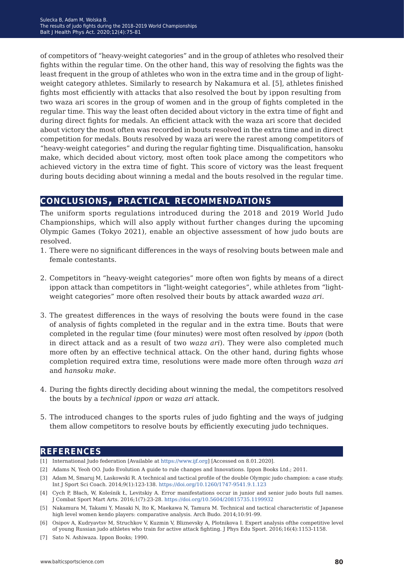of competitors of "heavy-weight categories" and in the group of athletes who resolved their fights within the regular time. On the other hand, this way of resolving the fights was the least frequent in the group of athletes who won in the extra time and in the group of lightweight category athletes. Similarly to research by Nakamura et al. [5], athletes finished fights most efficiently with attacks that also resolved the bout by ippon resulting from two waza ari scores in the group of women and in the group of fights completed in the regular time. This way the least often decided about victory in the extra time of fight and during direct fights for medals. An efficient attack with the waza ari score that decided about victory the most often was recorded in bouts resolved in the extra time and in direct competition for medals. Bouts resolved by waza ari were the rarest among competitors of "heavy-weight categories" and during the regular fighting time. Disqualification, hansoku make, which decided about victory, most often took place among the competitors who achieved victory in the extra time of fight. This score of victory was the least frequent during bouts deciding about winning a medal and the bouts resolved in the regular time.

#### **conclusions, practical recommendations**

The uniform sports regulations introduced during the 2018 and 2019 World Judo Championships, which will also apply without further changes during the upcoming Olympic Games (Tokyo 2021), enable an objective assessment of how judo bouts are resolved.

- 1. There were no significant differences in the ways of resolving bouts between male and female contestants.
- 2. Competitors in "heavy-weight categories" more often won fights by means of a direct ippon attack than competitors in "light-weight categories", while athletes from "lightweight categories" more often resolved their bouts by attack awarded *waza ari*.
- 3. The greatest differences in the ways of resolving the bouts were found in the case of analysis of fights completed in the regular and in the extra time. Bouts that were completed in the regular time (four minutes) were most often resolved by *ippon* (both in direct attack and as a result of two *waza ari*). They were also completed much more often by an effective technical attack. On the other hand, during fights whose completion required extra time, resolutions were made more often through *waza ari* and *hansoku make*.
- 4. During the fights directly deciding about winning the medal, the competitors resolved the bouts by a *technical ippon* or *waza ari* attack.
- 5. The introduced changes to the sports rules of judo fighting and the ways of judging them allow competitors to resolve bouts by efficiently executing judo techniques.

### **references**

- [1] International Judo federation [Available at [https://www.ijf.org\]](https://www.ijf.org) [Accessed on 8.01.2020].
- [2] Adams N, Yeoh OO. Judo Evolution A guide to rule changes and Innovations. Ippon Books Ltd.; 2011.
- [3] Adam M, Smaruj M, Laskowski R. A technical and tactical profile of the double Olympic judo champion: a case study. Int J Sport Sci Coach. 2014;9(1):123-138. <https://doi.org/10.1260/1747-9541.9.1.123>
- [4] Cych P, Błach, W, Koleśnik Ł, Levitskiy A. Error manifestations occur in junior and senior judo bouts full names. J Combat Sport Mart Arts. 2016;1(7):23-28. <https://doi.org/10.5604/20815735.1199932>
- [5] Nakamura M, Takami Y, Masaki N, Ito K, Maekawa N, Tamura M. Technical and tactical characteristic of Japanese high level women kendo players: comparative analysis. Arch Budo. 2014;10:91-99.
- [6] Osipov A, Kudryavtsv M, Struchkov V, Kuzmin V, Bliznevsky A, Plotnikova I. Expert analysis ofthe competitive level of young Russian judo athletes who train for active attack fighting. J Phys Edu Sport. 2016;16(4):1153-1158.
- [7] Sato N. Ashiwaza. Ippon Books; 1990.